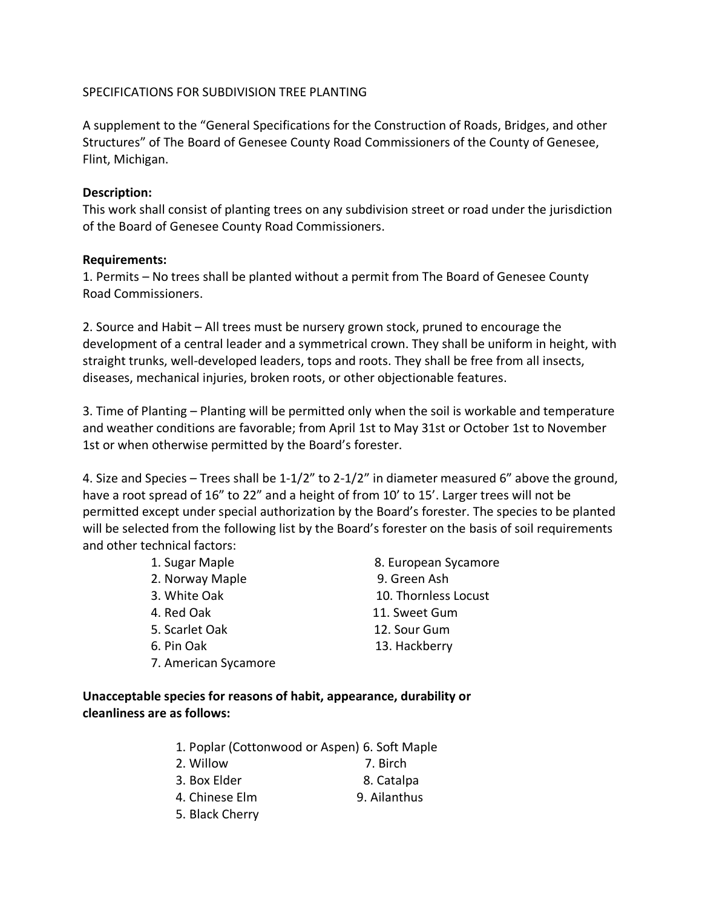## SPECIFICATIONS FOR SUBDIVISION TREE PLANTING

A supplement to the "General Specifications for the Construction of Roads, Bridges, and other Structures" of The Board of Genesee County Road Commissioners of the County of Genesee, Flint, Michigan.

## **Description:**

This work shall consist of planting trees on any subdivision street or road under the jurisdiction of the Board of Genesee County Road Commissioners.

## **Requirements:**

1. Permits – No trees shall be planted without a permit from The Board of Genesee County Road Commissioners.

2. Source and Habit – All trees must be nursery grown stock, pruned to encourage the development of a central leader and a symmetrical crown. They shall be uniform in height, with straight trunks, well-developed leaders, tops and roots. They shall be free from all insects, diseases, mechanical injuries, broken roots, or other objectionable features.

3. Time of Planting – Planting will be permitted only when the soil is workable and temperature and weather conditions are favorable; from April 1st to May 31st or October 1st to November 1st or when otherwise permitted by the Board's forester.

4. Size and Species – Trees shall be 1-1/2" to 2-1/2" in diameter measured 6" above the ground, have a root spread of 16" to 22" and a height of from 10' to 15'. Larger trees will not be permitted except under special authorization by the Board's forester. The species to be planted will be selected from the following list by the Board's forester on the basis of soil requirements and other technical factors:

- 2. Norway Maple 9. Green Ash
- 
- 
- 
- 
- 7. American Sycamore
- 1. Sugar Maple 8. European Sycamore 3. White Oak 10. Thornless Locust 4. Red Oak 11. Sweet Gum 5. Scarlet Oak 12. Sour Gum 6. Pin Oak 13. Hackberry

## **Unacceptable species for reasons of habit, appearance, durability or cleanliness are as follows:**

- 1. Poplar (Cottonwood or Aspen) 6. Soft Maple
- 2. Willow 7. Birch
- 3. Box Elder 8. Catalpa
- 4. Chinese Elm 9. Ailanthus
- 5. Black Cherry